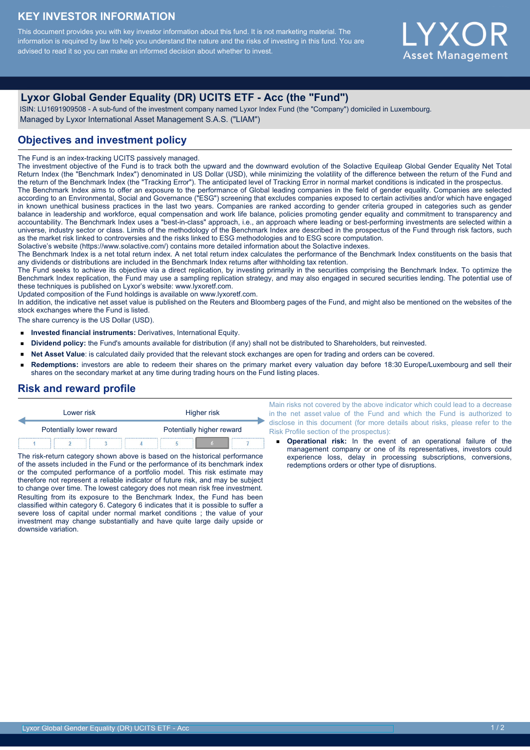#### **KEY INVESTOR INFORMATION**

This document provides you with key investor information about this fund. It is not marketing material. The information is required by law to help you understand the nature and the risks of investing in this fund. You are advised to read it so you can make an informed decision about whether to invest.

# Y X C **Asset Management**

## **Lyxor Global Gender Equality (DR) UCITS ETF - Acc (the "Fund")**

 ISIN: LU1691909508 - A sub-fund of the investment company named Lyxor Index Fund (the "Company") domiciled in Luxembourg. Managed by Lyxor International Asset Management S.A.S. ("LIAM")

### **Objectives and investment policy**

The Fund is an index-tracking UCITS passively managed.

The investment objective of the Fund is to track both the upward and the downward evolution of the Solactive Equileap Global Gender Equality Net Total Return Index (the "Benchmark Index") denominated in US Dollar (USD), while minimizing the volatility of the difference between the return of the Fund and the return of the Benchmark Index (the "Tracking Error"). The anticipated level of Tracking Error in normal market conditions is indicated in the prospectus. The Benchmark Index aims to offer an exposure to the performance of Global leading companies in the field of gender equality. Companies are selected according to an Environmental, Social and Governance ("ESG") screening that excludes companies exposed to certain activities and/or which have engaged in known unethical business practices in the last two years. Companies are ranked according to gender criteria grouped in categories such as gender balance in leadership and workforce, equal compensation and work life balance, policies promoting gender equality and commitment to transparency and accountability. The Benchmark Index uses a "best-in-class" approach, i.e., an approach where leading or best-performing investments are selected within a universe, industry sector or class. Limits of the methodology of the Benchmark Index are described in the prospectus of the Fund through risk factors, such as the market risk linked to controversies and the risks linked to ESG methodologies and to ESG score computation.

Solactive's website (https://www.solactive.com/) contains more detailed information about the Solactive indexes.

The Benchmark Index is a net total return index. A net total return index calculates the performance of the Benchmark Index constituents on the basis that any dividends or distributions are included in the Benchmark Index returns after withholding tax retention.

The Fund seeks to achieve its objective via a direct replication, by investing primarily in the securities comprising the Benchmark Index. To optimize the Benchmark Index replication, the Fund may use a sampling replication strategy, and may also engaged in secured securities lending. The potential use of these techniques is published on Lyxor's website: www.lyxoretf.com.

Updated composition of the Fund holdings is available on www.lyxoretf.com.

In addition, the indicative net asset value is published on the Reuters and Bloomberg pages of the Fund, and might also be mentioned on the websites of the stock exchanges where the Fund is listed.

The share currency is the US Dollar (USD).

- **Invested financial instruments:** Derivatives, International Equity.  $\blacksquare$
- **Dividend policy:** the Fund's amounts available for distribution (if any) shall not be distributed to Shareholders, but reinvested.  $\blacksquare$
- **Net Asset Value**: is calculated daily provided that the relevant stock exchanges are open for trading and orders can be covered.  $\blacksquare$
- **Redemptions:** investors are able to redeem their shares on the primary market every valuation day before 18:30 Europe/Luxembourg and sell their shares on the secondary market at any time during trading hours on the Fund listing places.

#### **Risk and reward profile**

| Lower risk               |  | Higher risk |                           |  |  |  |
|--------------------------|--|-------------|---------------------------|--|--|--|
| Potentially lower reward |  |             | Potentially higher reward |  |  |  |
|                          |  |             |                           |  |  |  |

The risk-return category shown above is based on the historical performance of the assets included in the Fund or the performance of its benchmark index or the computed performance of a portfolio model. This risk estimate may therefore not represent a reliable indicator of future risk, and may be subject to change over time. The lowest category does not mean risk free investment. Resulting from its exposure to the Benchmark Index, the Fund has been classified within category 6. Category 6 indicates that it is possible to suffer a severe loss of capital under normal market conditions ; the value of your investment may change substantially and have quite large daily upside or downside variation.

Main risks not covered by the above indicator which could lead to a decrease in the net asset value of the Fund and which the Fund is authorized to disclose in this document (for more details about risks, please refer to the Risk Profile section of the prospectus):

**Operational risk:** In the event of an operational failure of the management company or one of its representatives, investors could experience loss, delay in processing subscriptions, conversions, redemptions orders or other type of disruptions.